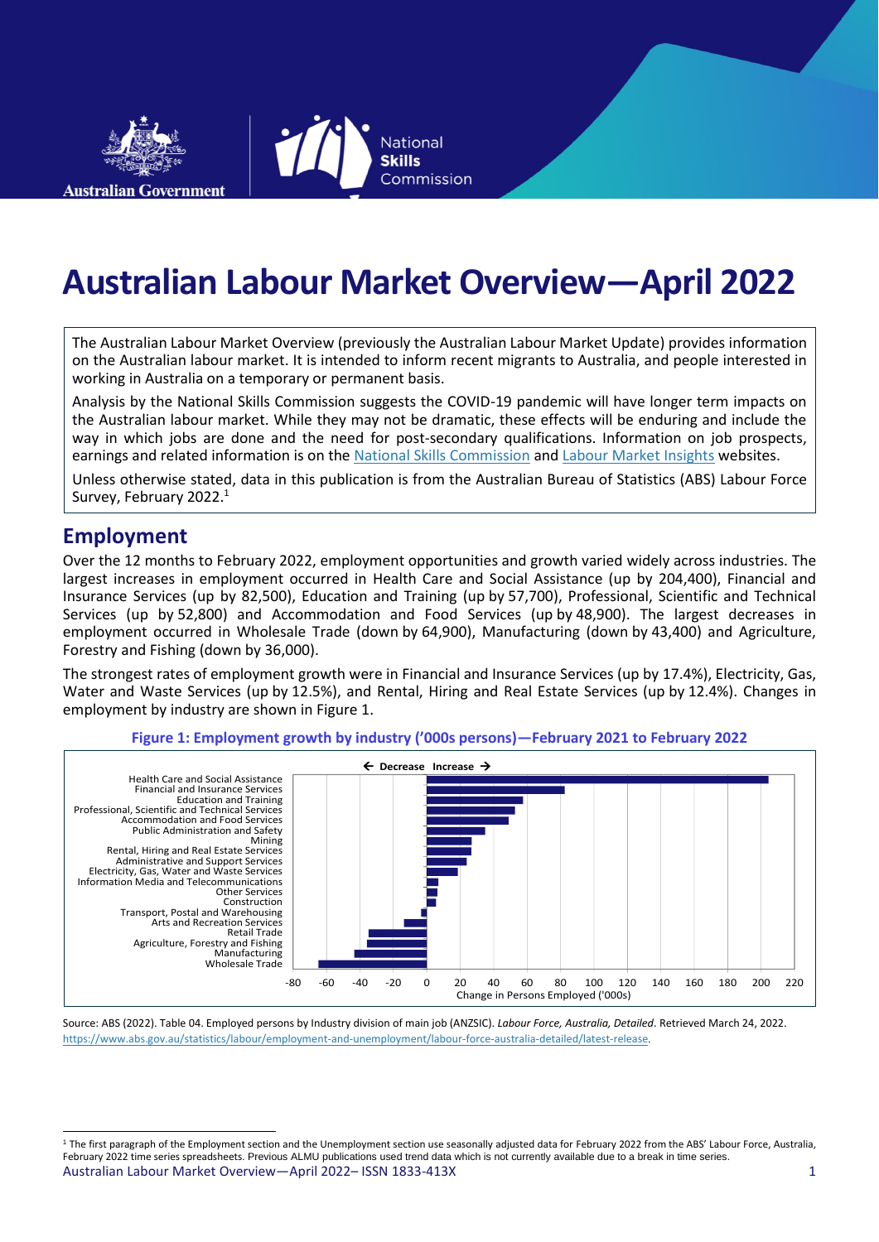

**Australian Labour Market Overview—April 2022**

**National Skills** 

Commission

The Australian Labour Market Overview (previously the Australian Labour Market Update) provides information on the Australian labour market. It is intended to inform recent migrants to Australia, and people interested in working in Australia on a temporary or permanent basis.

Analysis by the National Skills Commission suggests the COVID-19 pandemic will have longer term impacts on the Australian labour market. While they may not be dramatic, these effects will be enduring and include the way in which jobs are done and the need for post-secondary qualifications. Information on job prospects, earnings and related information is on th[e National Skills Commission](https://www.nationalskillscommission.gov.au/) and Labour [Market Insights](https://labourmarketinsights.gov.au/) websites.

Unless otherwise stated, data in this publication is from the Australian Bureau of Statistics (ABS) Labour Force Survey, February 2022.<sup>1</sup>

#### **Employment**

Over the 12 months to February 2022, employment opportunities and growth varied widely across industries. The largest increases in employment occurred in Health Care and Social Assistance (up by 204,400), Financial and Insurance Services (up by 82,500), Education and Training (up by 57,700), Professional, Scientific and Technical Services (up by 52,800) and Accommodation and Food Services (up by 48,900). The largest decreases in employment occurred in Wholesale Trade (down by 64,900), Manufacturing (down by 43,400) and Agriculture, Forestry and Fishing (down by 36,000).

The strongest rates of employment growth were in Financial and Insurance Services (up by 17.4%), Electricity, Gas, Water and Waste Services (up by 12.5%), and Rental, Hiring and Real Estate Services (up by 12.4%). Changes in employment by industry are shown in Figure 1.



**Figure 1: Employment growth by industry ('000s persons)—February 2021 to February 2022**

Source: ABS (2022). Table 04. Employed persons by Industry division of main job (ANZSIC). *Labour Force, Australia, Detailed*. Retrieved March 24, 2022. <https://www.abs.gov.au/statistics/labour/employment-and-unemployment/labour-force-australia-detailed/latest-release>.

Australian Labour Market Overview—April 2022– ISSN 1833-413X 1 <sup>1</sup> The first paragraph of the Employment section and the Unemployment section use seasonally adjusted data for February 2022 from the ABS' Labour Force, Australia February 2022 time series spreadsheets. Previous ALMU publications used trend data which is not currently available due to a break in time series.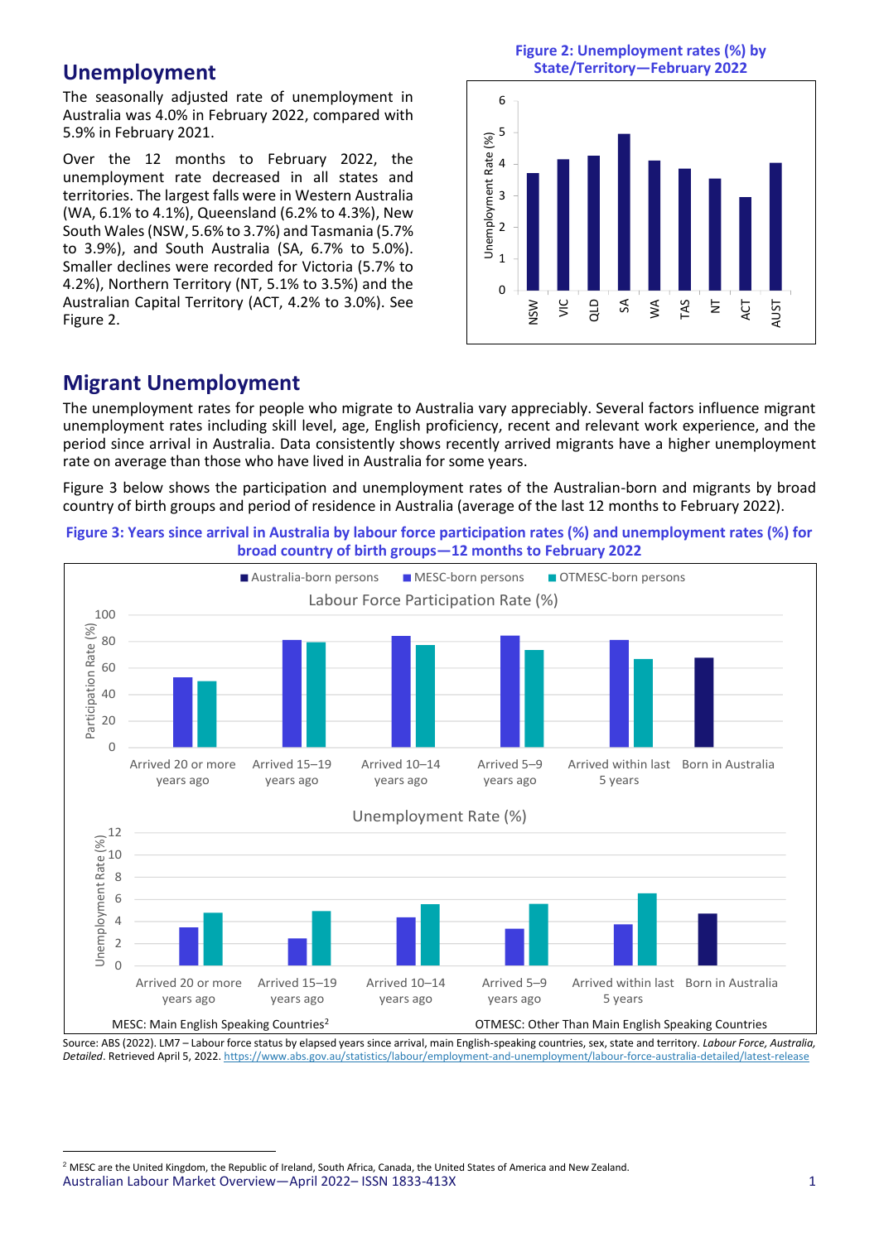#### **Unemployment**

The seasonally adjusted rate of unemployment in Australia was 4.0% in February 2022, compared with 5.9% in February 2021.

Over the 12 months to February 2022, the unemployment rate decreased in all states and territories. The largest falls were in Western Australia (WA, 6.1% to 4.1%), Queensland (6.2% to 4.3%), New South Wales (NSW, 5.6% to 3.7%) and Tasmania (5.7% to 3.9%), and South Australia (SA, 6.7% to 5.0%). Smaller declines were recorded for Victoria (5.7% to 4.2%), Northern Territory (NT, 5.1% to 3.5%) and the Australian Capital Territory (ACT, 4.2% to 3.0%). See Figure 2.

**Figure 2: Unemployment rates (%) by State/Territory—February 2022**



# **Migrant Unemployment**

The unemployment rates for people who migrate to Australia vary appreciably. Several factors influence migrant unemployment rates including skill level, age, English proficiency, recent and relevant work experience, and the period since arrival in Australia. Data consistently shows recently arrived migrants have a higher unemployment rate on average than those who have lived in Australia for some years.

Figure 3 below shows the participation and unemployment rates of the Australian-born and migrants by broad country of birth groups and period of residence in Australia (average of the last 12 months to February 2022).



**Figure 3: Years since arrival in Australia by labour force participation rates (%) and unemployment rates (%) for broad country of birth groups—12 months to February 2022**

Source: ABS (2022). LM7 – Labour force status by elapsed years since arrival, main English-speaking countries, sex, state and territory. *Labour Force, Australia, Detailed*. Retrieved April 5, 2022[. https://www.abs.gov.au/statistics/labour/employment-and-unemployment/labour-force-australia-detailed/latest-release](https://www.abs.gov.au/statistics/labour/employment-and-unemployment/labour-force-australia-detailed/latest-release)

Australian Labour Market Overview—April 2022– ISSN 1833-413X 1 <sup>2</sup> MESC are the United Kingdom, the Republic of Ireland, South Africa, Canada, the United States of America and New Zealand.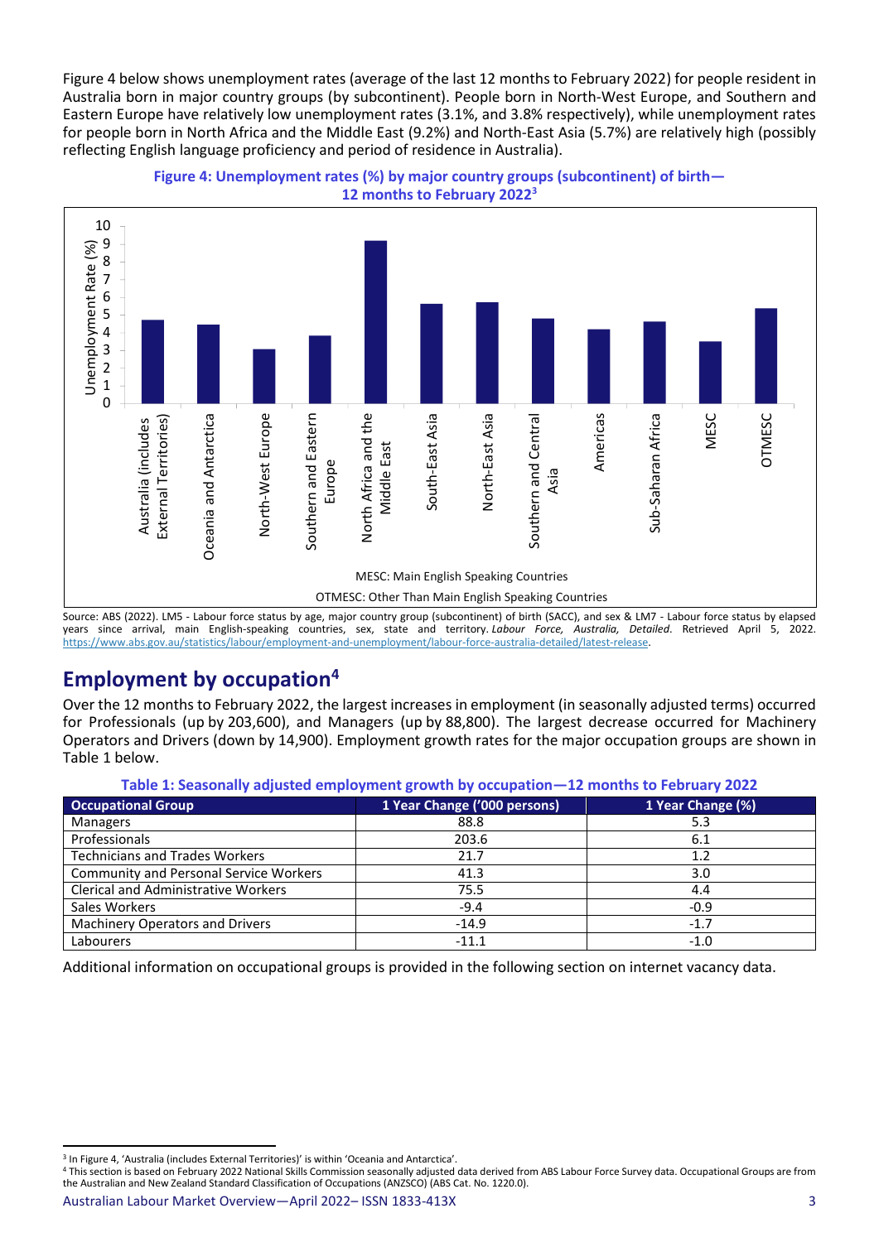Figure 4 below shows unemployment rates (average of the last 12 months to February 2022) for people resident in Australia born in major country groups (by subcontinent). People born in North-West Europe, and Southern and Eastern Europe have relatively low unemployment rates (3.1%, and 3.8% respectively), while unemployment rates for people born in North Africa and the Middle East (9.2%) and North-East Asia (5.7%) are relatively high (possibly reflecting English language proficiency and period of residence in Australia).



**Figure 4: Unemployment rates (%) by major country groups (subcontinent) of birth— 12 months to February 2022<sup>3</sup>**

Source: ABS (2022). LM5 - Labour force status by age, major country group (subcontinent) of birth (SACC), and sex & LM7 - Labour force status by elapsed years since arrival, main English-speaking countries, sex, state and territory. *Labour Force, Australia, Detailed*. Retrieved April 5, 2022. [https://www.abs.gov.au/statistics/labour/employment-and-unemployment/labour-force-australia-detailed/latest-release.](https://www.abs.gov.au/statistics/labour/employment-and-unemployment/labour-force-australia-detailed/latest-release)

# **Employment by occupation<sup>4</sup>**

Over the 12 months to February 2022, the largest increases in employment (in seasonally adjusted terms) occurred for Professionals (up by 203,600), and Managers (up by 88,800). The largest decrease occurred for Machinery Operators and Drivers (down by 14,900). Employment growth rates for the major occupation groups are shown in Table 1 below.

**Table 1: Seasonally adjusted employment growth by occupation—12 months to February 2022**

| <b>Occupational Group</b>                     | 1 Year Change ('000 persons) | 1 Year Change (%) |
|-----------------------------------------------|------------------------------|-------------------|
| <b>Managers</b>                               | 88.8                         | 5.3               |
| Professionals                                 | 203.6                        | 6.1               |
| <b>Technicians and Trades Workers</b>         | 21.7                         | 1.2               |
| <b>Community and Personal Service Workers</b> | 41.3                         | 3.0               |
| <b>Clerical and Administrative Workers</b>    | 75.5                         | 4.4               |
| Sales Workers                                 | $-9.4$                       | $-0.9$            |
| Machinery Operators and Drivers               | $-14.9$                      | $-1.7$            |
| Labourers                                     | $-11.1$                      | $-1.0$            |

Additional information on occupational groups is provided in the following section on internet vacancy data.

<sup>&</sup>lt;sup>3</sup> In Figure 4, 'Australia (includes External Territories)' is within 'Oceania and Antarctica'.

<sup>&</sup>lt;sup>4</sup> This section is based on February 2022 National Skills Commission seasonally adjusted data derived from ABS Labour Force Survey data. Occupational Groups are from the Australian and New Zealand Standard Classification of Occupations (ANZSCO) (ABS Cat. No. 1220.0).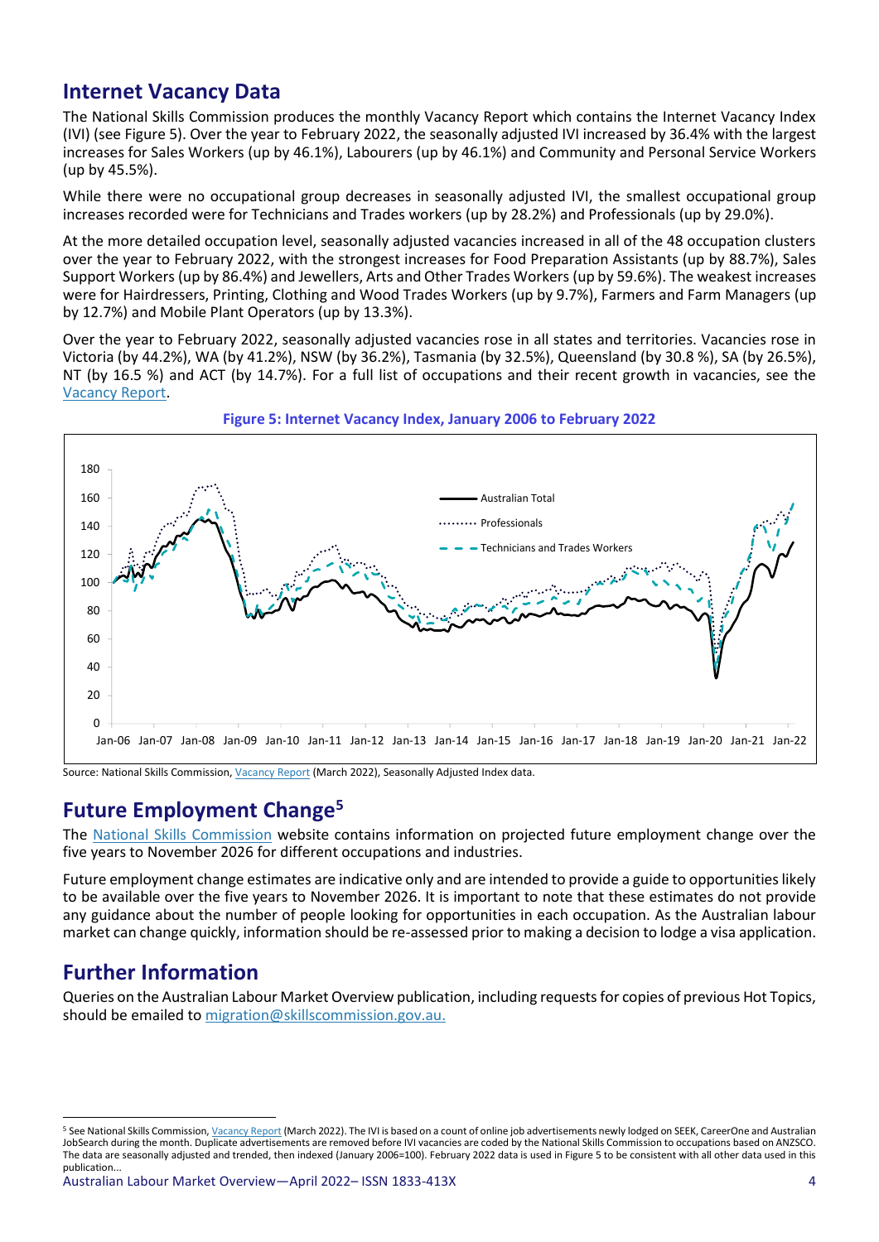#### **Internet Vacancy Data**

The National Skills Commission produces the monthly Vacancy Report which contains the Internet Vacancy Index (IVI) (see Figure 5). Over the year to February 2022, the seasonally adjusted IVI increased by 36.4% with the largest increases for Sales Workers (up by 46.1%), Labourers (up by 46.1%) and Community and Personal Service Workers (up by 45.5%).

While there were no occupational group decreases in seasonally adjusted IVI, the smallest occupational group increases recorded were for Technicians and Trades workers (up by 28.2%) and Professionals (up by 29.0%).

At the more detailed occupation level, seasonally adjusted vacancies increased in all of the 48 occupation clusters over the year to February 2022, with the strongest increases for Food Preparation Assistants (up by 88.7%), Sales Support Workers (up by 86.4%) and Jewellers, Arts and Other Trades Workers (up by 59.6%). The weakest increases were for Hairdressers, Printing, Clothing and Wood Trades Workers (up by 9.7%), Farmers and Farm Managers (up by 12.7%) and Mobile Plant Operators (up by 13.3%).

Over the year to February 2022, seasonally adjusted vacancies rose in all states and territories. Vacancies rose in Victoria (by 44.2%), WA (by 41.2%), NSW (by 36.2%), Tasmania (by 32.5%), Queensland (by 30.8 %), SA (by 26.5%), NT (by 16.5 %) and ACT (by 14.7%). For a full list of occupations and their recent growth in vacancies, see the [Vacancy Report.](http://lmip.gov.au/default.aspx?LMIP/VacancyReport)



#### **Figure 5: Internet Vacancy Index, January 2006 to February 2022**

Source: National Skills Commission[, Vacancy Report](http://lmip.gov.au/default.aspx?LMIP/VacancyReport) (March 2022), Seasonally Adjusted Index data.

# **Future Employment Change<sup>5</sup>**

The [National Skills Commission](https://www.nationalskillscommission.gov.au/topics/employment-projections) website contains information on projected future employment change over the five years to November 2026 for different occupations and industries.

Future employment change estimates are indicative only and are intended to provide a guide to opportunities likely to be available over the five years to November 2026. It is important to note that these estimates do not provide any guidance about the number of people looking for opportunities in each occupation. As the Australian labour market can change quickly, information should be re-assessed prior to making a decision to lodge a visa application.

## **Further Information**

Queries on the Australian Labour Market Overview publication, including requests for copies of previous Hot Topics, should be emailed to [migration@skillscommission.gov.au.](mailto:migration@skillscommission.gov.au)

<sup>&</sup>lt;sup>5</sup> See National Skills Commission[, Vacancy Report](http://lmip.gov.au/default.aspx?LMIP/VacancyReport) (March 2022). The IVI is based on a count of online job advertisements newly lodged on SEEK, CareerOne and Australian JobSearch during the month. Duplicate advertisements are removed before IVI vacancies are coded by the National Skills Commission to occupations based on ANZSCO. The data are seasonally adjusted and trended, then indexed (January 2006=100). February 2022 data is used in Figure 5 to be consistent with all other data used in this publication...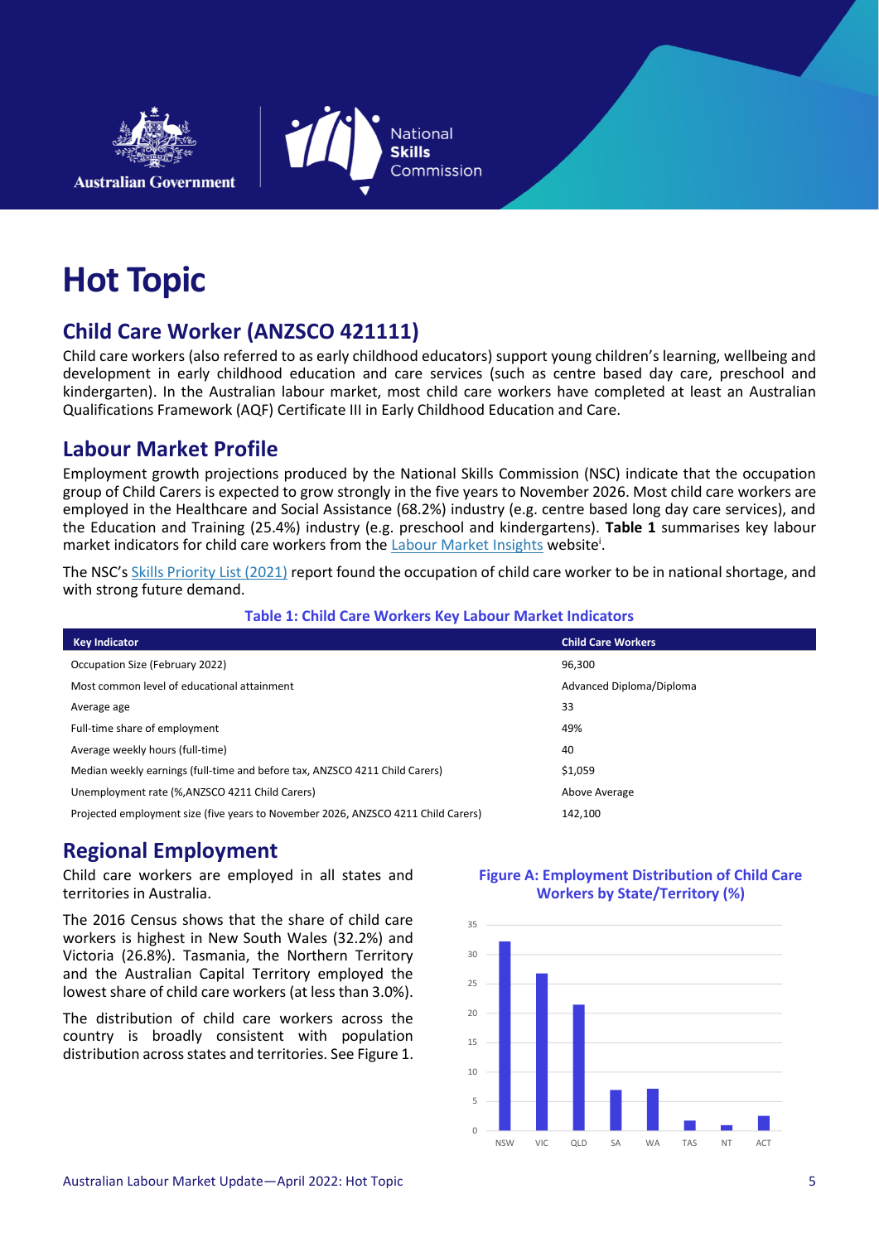



# **Hot Topic**

# **Child Care Worker (ANZSCO 421111)**

Child care workers (also referred to as early childhood educators) support young children's learning, wellbeing and development in early childhood education and care services (such as centre based day care, preschool and kindergarten). In the Australian labour market, most child care workers have completed at least an Australian Qualifications Framework (AQF) Certificate III in Early Childhood Education and Care.

## **Labour Market Profile**

Employment growth projections produced by the National Skills Commission (NSC) indicate that the occupation group of Child Carers is expected to grow strongly in the five years to November 2026. Most child care workers are employed in the Healthcare and Social Assistance (68.2%) industry (e.g. centre based long day care services), and the Education and Training (25.4%) industry (e.g. preschool and kindergartens). **Table 1** summarises key labour market indicators for child care workers from the **Labour Market Insights** website<sup>i</sup>.

The NSC's [Skills Priority List \(2021\)](https://www.nationalskillscommission.gov.au/topics/skills-priority-list) report found the occupation of child care worker to be in national shortage, and with strong future demand.

#### **Table 1: Child Care Workers Key Labour Market Indicators**

| <b>Key Indicator</b>                                                              | <b>Child Care Workers</b> |
|-----------------------------------------------------------------------------------|---------------------------|
| Occupation Size (February 2022)                                                   | 96,300                    |
| Most common level of educational attainment                                       | Advanced Diploma/Diploma  |
| Average age                                                                       | 33                        |
| Full-time share of employment                                                     | 49%                       |
| Average weekly hours (full-time)                                                  | 40                        |
| Median weekly earnings (full-time and before tax, ANZSCO 4211 Child Carers)       | \$1,059                   |
| Unemployment rate (%, ANZSCO 4211 Child Carers)                                   | Above Average             |
| Projected employment size (five years to November 2026, ANZSCO 4211 Child Carers) | 142,100                   |

## **Regional Employment**

Child care workers are employed in all states and territories in Australia.

The 2016 Census shows that the share of child care workers is highest in New South Wales (32.2%) and Victoria (26.8%). Tasmania, the Northern Territory and the Australian Capital Territory employed the lowest share of child care workers (at less than 3.0%).

The distribution of child care workers across the country is broadly consistent with population distribution across states and territories. See Figure 1.

#### **Figure A: Employment Distribution of Child Care Workers by State/Territory (%)**